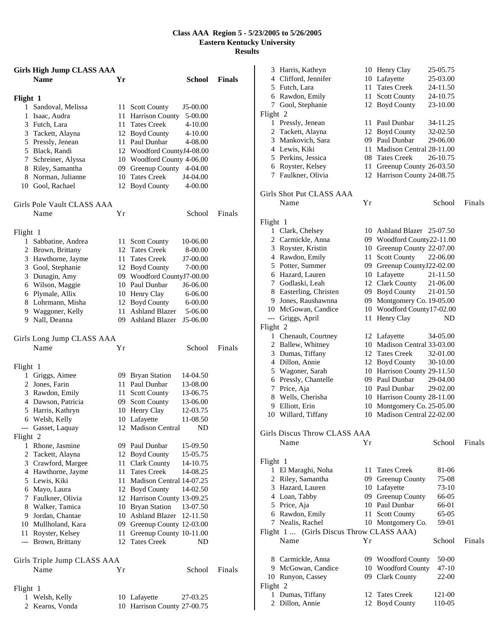## **Class AAA Region 5 - 5/23/2005 to 5/26/2005 Eastern Kentucky University Results**

|               | <b>Girls High Jump CLASS AAA</b>       |      |                                                  |               |
|---------------|----------------------------------------|------|--------------------------------------------------|---------------|
|               | <b>Name</b>                            | Yr   | <b>School</b>                                    | <b>Finals</b> |
| Flight 1      |                                        |      |                                                  |               |
| 1             | Sandoval, Melissa                      | 11   | J5-00.00<br><b>Scott County</b>                  |               |
|               | 1 Isaac, Audra                         | 11   | Harrison County<br>5-00.00                       |               |
|               | 3 Futch, Lara                          |      | 11 Tates Creek<br>4-10.00                        |               |
|               | 3 Tackett, Alayna                      |      | 12 Boyd County<br>$4 - 10.00$                    |               |
|               | 5 Pressly, Jenean                      |      | 11 Paul Dunbar<br>4-08.00                        |               |
|               | 5 Black, Randi                         |      | 12 Woodford CountyJ4-08.00                       |               |
|               | 7 Schreiner, Alyssa                    |      | 10 Woodford County 4-06.00                       |               |
|               | 8 Riley, Samantha                      |      | 09 Greenup County 4-04.00                        |               |
|               | 8 Norman, Julianne                     |      | 10 Tates Creek<br>J4-04.00                       |               |
|               | 10 Gool, Rachael                       |      | 12 Boyd County<br>4-00.00                        |               |
|               | Girls Pole Vault CLASS AAA             |      |                                                  |               |
|               | Name                                   | Υr   | School                                           | Finals        |
|               |                                        |      |                                                  |               |
| Flight 1<br>1 | Sabbatine, Andrea                      | 11   | 10-06.00                                         |               |
|               | 2 Brown, Brittany                      |      | <b>Scott County</b><br>12 Tates Creek<br>8-00.00 |               |
|               | 3 Hawthorne, Jayme                     |      | 11 Tates Creek<br>J7-00.00                       |               |
|               | 3 Gool, Stephanie                      |      | 12 Boyd County<br>7-00.00                        |               |
|               | 3 Dunagin, Amy                         |      | 09 Woodford CountyJ7-00.00                       |               |
|               | 6 Wilson, Maggie                       |      | 10 Paul Dunbar<br>J6-06.00                       |               |
|               | 6 Plymale, Allix                       |      | 10 Henry Clay<br>6-06.00                         |               |
|               |                                        |      | 6-00.00                                          |               |
|               | 8 Lohrmann, Misha<br>9 Waggoner, Kelly |      | 12 Boyd County<br>11 Ashland Blazer<br>5-06.00   |               |
|               | 9 Nall, Deanna                         |      | 09 Ashland Blazer<br>J5-06.00                    |               |
|               |                                        |      |                                                  |               |
|               | Girls Long Jump CLASS AAA              |      |                                                  |               |
|               | Name                                   | Υr   | School                                           | Finals        |
| Flight 1      |                                        |      |                                                  |               |
|               | 1 Griggs, Aimee                        |      | 09 Bryan Station<br>14-04.50                     |               |
|               | 2 Jones, Farin                         |      | 11 Paul Dunbar<br>13-08.00                       |               |
|               | 3 Rawdon, Emily                        |      | 11 Scott County<br>13-06.75                      |               |
|               | 4 Dawson, Patricia                     |      | 09 Scott County<br>13-06.00                      |               |
|               | 5 Harris, Kathryn                      |      | 10 Henry Clay<br>12-03.75                        |               |
|               | 6 Welsh, Kelly                         |      | 10 Lafayette<br>11-08.50                         |               |
|               | Gasset, Laquay                         |      | 12 Madison Central ND                            |               |
| Flight 2      |                                        |      |                                                  |               |
|               | 1 Rhone, Jasmine                       |      | 09 Paul Dunbar<br>15-09.50                       |               |
|               | 2 Tackett, Alayna                      |      | 12 Boyd County<br>15-05.75                       |               |
|               | 3 Crawford, Margee                     |      | 11 Clark County<br>14-10.75                      |               |
|               | 4 Hawthorne, Jayme                     | 11 - | <b>Tates Creek</b><br>14-08.25                   |               |
|               | 5 Lewis, Kiki                          |      | 11 Madison Central 14-07.25                      |               |
|               | 6 Mayo, Laura                          |      | 12 Boyd County<br>14-02.50                       |               |
|               | 7 Faulkner, Olivia                     |      | 12 Harrison County 13-09.25                      |               |
|               | 8 Walker, Tamica                       |      | 10 Bryan Station<br>13-07.50                     |               |
|               | 9 Jordan, Chantae                      |      | 10 Ashland Blazer 12-11.50                       |               |
|               | 10 Mullholand, Kara                    |      | 09 Greenup County 12-03.00                       |               |
|               | 11 Royster, Kelsey                     | 11   | Greenup County 10-11.00                          |               |
|               | --- Brown, Brittany                    |      | 12 Tates Creek<br>ND                             |               |
|               | Girls Triple Jump CLASS AAA            |      |                                                  |               |
|               | Name                                   | Υr   | School                                           | Finals        |
| Flight 1      |                                        |      |                                                  |               |
| 1             | Welsh, Kelly                           |      | 10 Lafayette<br>27-03.25                         |               |
| 2             | Kearns, Vonda                          |      | 10 Harrison County 27-00.75                      |               |

|                          | 3 Harris, Kathryn                        |      | 10 Henry Clay                                             | 25-05.75 |        |
|--------------------------|------------------------------------------|------|-----------------------------------------------------------|----------|--------|
|                          | 4 Clifford, Jennifer                     |      | 10 Lafayette                                              | 25-03.00 |        |
|                          | 5 Futch, Lara                            |      | 11 Tates Creek                                            | 24-11.50 |        |
|                          | 6 Rawdon, Emily                          | 11   | <b>Scott County</b>                                       | 24-10.75 |        |
| 7                        | Gool, Stephanie                          |      | 12 Boyd County                                            | 23-10.00 |        |
| Flight 2                 |                                          |      |                                                           |          |        |
|                          | 1 Pressly, Jenean                        |      | 11 Paul Dunbar                                            | 34-11.25 |        |
|                          | 2 Tackett, Alayna                        |      | 12 Boyd County                                            | 32-02.50 |        |
|                          | 3 Mankovich, Sara                        |      | 09 Paul Dunbar                                            | 29-06.00 |        |
|                          | 4 Lewis, Kiki                            | 11   | Madison Central 28-11.00                                  |          |        |
|                          | 5 Perkins, Jessica                       |      | 08 Tates Creek                                            | 26-10.75 |        |
|                          | 6 Royster, Kelsey                        | 11   | Greenup County 26-03.50                                   |          |        |
|                          | 7 Faulkner, Olivia                       |      | 12 Harrison County 24-08.75                               |          |        |
|                          | Girls Shot Put CLASS AAA                 |      |                                                           |          |        |
|                          | Name                                     | Yr   |                                                           | School   | Finals |
|                          |                                          |      |                                                           |          |        |
| Flight 1                 |                                          |      |                                                           |          |        |
|                          | 1 Clark, Chelsey                         |      | 10 Ashland Blazer 25-07.50                                |          |        |
|                          | 2 Carmickle, Anna                        |      | 09 Woodford County22-11.00                                |          |        |
|                          | 3 Royster, Kristin                       |      | 10 Greenup County 22-07.00                                |          |        |
|                          | 4 Rawdon, Emily                          | 11   | <b>Scott County</b>                                       | 22-06.00 |        |
|                          | 5 Potter, Summer                         | 09   | Greenup CountyJ22-02.00                                   |          |        |
|                          | 6 Hazard, Lauren                         |      | 10 Lafayette                                              | 21-11.50 |        |
|                          | 7 Godlaski, Leah                         |      | 12 Clark County                                           | 21-06.00 |        |
|                          | 8 Easterling, Christen                   |      | 09 Boyd County                                            | 21-01.50 |        |
|                          | 9 Jones, Raushawnna                      |      | 09 Montgomery Co. 19-05.00                                |          |        |
|                          | 10 McGowan, Candice                      | 10   | Woodford County17-02.00                                   |          |        |
| $\overline{\phantom{a}}$ | Griggs, April                            | 11   | Henry Clay                                                | ND       |        |
| Flight 2                 |                                          |      |                                                           |          |        |
|                          | 1 Chenault, Courtney                     |      | 12 Lafayette                                              | 34-05.00 |        |
|                          | 2 Ballew, Whitney                        |      | 10 Madison Central 33-03.00                               |          |        |
|                          |                                          |      | 12 Tates Creek                                            |          |        |
| 3                        | Dumas, Tiffany                           |      |                                                           | 32-01.00 |        |
|                          | 4 Dillon, Annie                          |      | 12 Boyd County                                            | 30-10.00 |        |
|                          | 5 Wagoner, Sarah                         |      | 10 Harrison County 29-11.50                               |          |        |
|                          | 6 Pressly, Chantelle                     |      | 09 Paul Dunbar                                            | 29-04.00 |        |
| 7                        | Price, Aja                               |      | 10 Paul Dunbar                                            | 29-02.00 |        |
| 8                        | Wells, Cherisha                          |      | 10 Harrison County 28-11.00                               |          |        |
| 9                        | Elliott, Erin<br>Willard, Tiffany        |      | 10 Montgomery Co. 25-05.00<br>10 Madison Central 22-02.00 |          |        |
| 10                       |                                          |      |                                                           |          |        |
|                          | Girls Discus Throw CLASS AAA             |      |                                                           |          |        |
|                          | Name                                     | Yr   |                                                           | School   | Finals |
|                          |                                          |      |                                                           |          |        |
| Flight 1                 |                                          |      |                                                           |          |        |
|                          | 1 El Maraghi, Noha                       |      | 11 Tates Creek                                            | 81-06    |        |
|                          | 2 Riley, Samantha                        |      | 09 Greenup County                                         | 75-08    |        |
|                          | 3 Hazard, Lauren                         |      | 10 Lafayette                                              | 73-10    |        |
|                          | 4 Loan, Tabby                            |      | 09 Greenup County                                         | 66-05    |        |
|                          | 5 Price, Aja                             |      | 10 Paul Dunbar                                            | 66-01    |        |
|                          | 6 Rawdon, Emily                          | 11 - | <b>Scott County</b>                                       | 65-05    |        |
|                          | 7 Nealis, Rachel                         |      | 10 Montgomery Co.                                         | 59-01    |        |
|                          | Flight 1  (Girls Discus Throw CLASS AAA) |      |                                                           |          |        |
|                          | Name                                     | Υr   |                                                           | School   | Finals |
|                          | 8 Carmickle, Anna                        |      | 09 Woodford County                                        | 50-00    |        |
|                          | 9 McGowan, Candice                       |      | 10 Woodford County                                        | 47-10    |        |
|                          | 10 Runyon, Cassey                        |      | 09 Clark County                                           | 22-00    |        |
| Flight 2                 |                                          |      |                                                           |          |        |
|                          | 1 Dumas, Tiffany                         |      | 12 Tates Creek                                            | 121-00   |        |
| 2                        | Dillon, Annie                            | 12   | <b>Boyd County</b>                                        | 110-05   |        |
|                          |                                          |      |                                                           |          |        |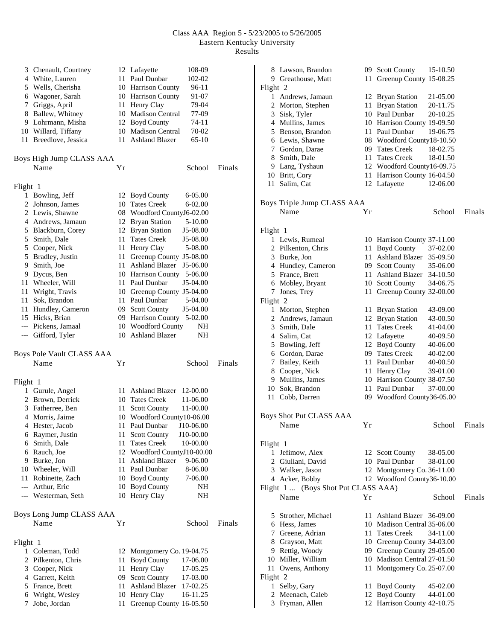## Class AAA Region 5 - 5/23/2005 to 5/26/2005 Eastern Kentucky University Results

|          | 3 Chenault, Courtney      |      | 12 Lafayette<br>108-09                               |        |
|----------|---------------------------|------|------------------------------------------------------|--------|
|          | 4 White, Lauren           |      | 11 Paul Dunbar<br>102-02                             |        |
|          | 5 Wells, Cherisha         |      | 10 Harrison County<br>96-11                          |        |
|          | 6 Wagoner, Sarah          |      | 10 Harrison County<br>91-07                          |        |
|          | 7 Griggs, April           |      | 11 Henry Clay<br>79-04                               |        |
|          | 8 Ballew, Whitney         |      | 10 Madison Central<br>77-09                          |        |
|          | 9 Lohrmann, Misha         |      | 12 Boyd County<br>74-11                              |        |
|          | 10 Willard, Tiffany       |      | 10 Madison Central<br>70-02                          |        |
|          | 11 Breedlove, Jessica     |      | 11 Ashland Blazer<br>65-10                           |        |
|          |                           |      |                                                      |        |
|          | Boys High Jump CLASS AAA  |      |                                                      |        |
|          | Name                      | Υr   | School                                               | Finals |
| Flight 1 |                           |      |                                                      |        |
|          | 1 Bowling, Jeff           |      | 12 Boyd County<br>6-05.00                            |        |
|          | 2 Johnson, James          |      | 10 Tates Creek<br>6-02.00                            |        |
|          | 2 Lewis, Shawne           |      | 08 Woodford CountyJ6-02.00                           |        |
|          | 4 Andrews, Jamaun         |      | 12 Bryan Station<br>5-10.00                          |        |
|          | 5 Blackburn, Corey        |      | 12 Bryan Station<br>J5-08.00                         |        |
|          | 5 Smith, Dale             |      | 11 Tates Creek<br>J5-08.00                           |        |
|          | 5 Cooper, Nick            |      | 11 Henry Clay<br>5-08.00                             |        |
|          | 5 Bradley, Justin         |      |                                                      |        |
|          |                           |      | 11 Greenup County J5-08.00<br>11 Ashland Blazer      |        |
|          | 9 Smith, Joe              |      | J5-06.00                                             |        |
|          | 9 Dycus, Ben              |      | 10 Harrison County 5-06.00                           |        |
|          | 11 Wheeler, Will          |      | 11 Paul Dunbar<br>J5-04.00                           |        |
|          | 11 Wright, Travis         |      | 10 Greenup County J5-04.00                           |        |
|          | 11 Sok, Brandon           |      | 11 Paul Dunbar<br>5-04.00                            |        |
|          | 11 Hundley, Cameron       |      | 09 Scott County<br>J5-04.00                          |        |
|          | 15 Hicks, Brian           |      | 09 Harrison County 5-02.00                           |        |
|          | --- Pickens, Jamaal       |      | 10 Woodford County                                   | NΗ     |
|          | --- Gifford, Tyler        |      | 10 Ashland Blazer                                    | NΗ     |
|          | Boys Pole Vault CLASS AAA |      |                                                      |        |
|          | Name                      | Υr   | School                                               | Finals |
|          |                           |      |                                                      |        |
| Flight 1 |                           |      |                                                      |        |
|          | 1 Gurule, Angel           |      | 11 Ashland Blazer<br>12-00.00                        |        |
|          | 2 Brown, Derrick          |      | 10 Tates Creek<br>11-06.00                           |        |
|          | 3 Fatherree, Ben          | 11 - | <b>Scott County</b><br>11-00.00                      |        |
|          | 4 Morris, Jaime           |      | 10 Woodford County10-06.00                           |        |
|          | 4 Hester, Jacob           |      | 11 Paul Dunbar<br>J10-06.00                          |        |
|          | 6 Raymer, Justin          | 11   | <b>Scott County</b><br>J10-00.00                     |        |
|          | 6 Smith, Dale             | 11   | <b>Tates Creek</b><br>10-00.00                       |        |
|          | 6 Rauch, Joe              |      |                                                      |        |
|          |                           |      | 12 Woodford CountyJ10-00.00<br><b>Ashland Blazer</b> |        |
|          | 9 Burke, Jon              | 11 - | 9-06.00                                              |        |
|          | 10 Wheeler, Will          |      | 11 Paul Dunbar<br>8-06.00                            |        |
|          | 11 Robinette, Zach        |      | 10 Boyd County<br>7-06.00                            |        |
|          | --- Arthur, Eric          | 10   | <b>Boyd County</b>                                   | NH     |
|          | --- Westerman, Seth       | 10   | Henry Clay                                           | NH     |
|          | Boys Long Jump CLASS AAA  |      |                                                      |        |
|          | Name                      | Υr   | School                                               | Finals |
|          |                           |      |                                                      |        |
| Flight 1 |                           |      |                                                      |        |
|          | 1 Coleman, Todd           |      | 12 Montgomery Co. 19-04.75                           |        |
|          | 2 Pilkenton, Chris        | 11   | <b>Boyd County</b><br>17-06.00                       |        |
|          | 3 Cooper, Nick            | 11   | Henry Clay<br>17-05.25                               |        |
|          | 4 Garrett, Keith          |      | 09 Scott County<br>17-03.00                          |        |
|          | 5 France, Brett           |      | 11 Ashland Blazer<br>17-02.25                        |        |
|          | 6 Wright, Wesley          |      | 10 Henry Clay<br>16-11.25                            |        |
| 7        | Jobe, Jordan              | 11   | Greenup County 16-05.50                              |        |
|          |                           |      |                                                      |        |

|          | 8 Lawson, Brandon                   |    | 09 Scott County             | 15-10.50 |        |
|----------|-------------------------------------|----|-----------------------------|----------|--------|
|          | 9 Greathouse, Matt                  | 11 | Greenup County 15-08.25     |          |        |
| Flight 2 |                                     |    |                             |          |        |
| 1        | Andrews, Jamaun                     | 12 | <b>Bryan Station</b>        | 21-05.00 |        |
|          | 2 Morton, Stephen                   | 11 | <b>Bryan Station</b>        | 20-11.75 |        |
|          | 3 Sisk, Tyler                       |    | 10 Paul Dunbar              | 20-10.25 |        |
|          | 4 Mullins, James                    |    | 10 Harrison County 19-09.50 |          |        |
|          |                                     |    |                             |          |        |
|          | 5 Benson, Brandon                   |    | 11 Paul Dunbar              | 19-06.75 |        |
|          | 6 Lewis, Shawne                     |    | 08 Woodford County18-10.50  |          |        |
|          | 7 Gordon, Darae                     |    | 09 Tates Creek              | 18-02.75 |        |
|          | 8 Smith, Dale                       |    | 11 Tates Creek              | 18-01.50 |        |
|          | 9 Lang, Tyshaun                     |    | 12 Woodford County16-09.75  |          |        |
|          | 10 Britt, Cory                      |    | 11 Harrison County 16-04.50 |          |        |
| 11       | Salim, Cat                          |    | 12 Lafayette                | 12-06.00 |        |
|          |                                     |    |                             |          |        |
|          | Boys Triple Jump CLASS AAA          |    |                             |          |        |
|          | Name                                | Υr |                             | School   | Finals |
|          |                                     |    |                             |          |        |
|          |                                     |    |                             |          |        |
| Flight 1 |                                     |    |                             |          |        |
|          | 1 Lewis, Rumeal                     |    | 10 Harrison County 37-11.00 |          |        |
|          | 2 Pilkenton, Chris                  |    | 11 Boyd County              | 37-02.00 |        |
|          | 3 Burke, Jon                        |    | 11 Ashland Blazer           | 35-09.50 |        |
|          | 4 Hundley, Cameron                  |    | 09 Scott County             | 35-06.00 |        |
|          | 5 France, Brett                     |    | 11 Ashland Blazer           | 34-10.50 |        |
|          | 6 Mobley, Bryant                    |    | 10 Scott County             | 34-06.75 |        |
| 7        | Jones, Trey                         | 11 | Greenup County 32-00.00     |          |        |
| Flight 2 |                                     |    |                             |          |        |
|          | 1 Morton, Stephen                   | 11 | <b>Bryan Station</b>        | 43-09.00 |        |
|          | 2 Andrews, Jamaun                   | 12 | <b>Bryan Station</b>        | 43-00.50 |        |
|          | 3 Smith, Dale                       | 11 | <b>Tates Creek</b>          | 41-04.00 |        |
|          | 4 Salim, Cat                        |    | 12 Lafayette                | 40-09.50 |        |
|          |                                     |    |                             |          |        |
|          | 5 Bowling, Jeff                     |    | 12 Boyd County              | 40-06.00 |        |
|          | 6 Gordon, Darae                     |    | 09 Tates Creek              | 40-02.00 |        |
|          | 7 Bailey, Keith                     |    | 11 Paul Dunbar              | 40-00.50 |        |
|          | 8 Cooper, Nick                      |    | 11 Henry Clay               | 39-01.00 |        |
|          | 9 Mullins, James                    |    | 10 Harrison County 38-07.50 |          |        |
|          | 10 Sok, Brandon                     |    | 11 Paul Dunbar              | 37-00.00 |        |
| 11       | Cobb, Darren                        |    | 09 Woodford County36-05.00  |          |        |
|          |                                     |    |                             |          |        |
|          | Boys Shot Put CLASS AAA             |    |                             |          |        |
|          | Name                                | Yr |                             | School   | Finals |
|          |                                     |    |                             |          |        |
|          |                                     |    |                             |          |        |
| Flight 1 |                                     |    |                             |          |        |
|          | 1 Jefimow, Alex                     |    | 12 Scott County             | 38-05.00 |        |
|          | 2 Giuliani, David                   |    | 10 Paul Dunbar              | 38-01.00 |        |
|          | 3 Walker, Jason                     |    | 12 Montgomery Co. 36-11.00  |          |        |
|          | 4 Acker, Bobby                      |    | 12 Woodford County36-10.00  |          |        |
|          | Flight 1  (Boys Shot Put CLASS AAA) |    |                             |          |        |
|          | Name                                | Υr |                             | School   | Finals |
|          |                                     |    |                             |          |        |
|          | 5 Strother, Michael                 |    | 11 Ashland Blazer 36-09.00  |          |        |
|          | 6 Hess, James                       |    | 10 Madison Central 35-06.00 |          |        |
|          | 7 Greene, Adrian                    |    | 11 Tates Creek              | 34-11.00 |        |
|          | 8 Grayson, Matt                     |    | 10 Greenup County 34-03.00  |          |        |
|          | 9 Rettig, Woody                     |    |                             |          |        |
|          |                                     |    | 09 Greenup County 29-05.00  |          |        |
|          | 10 Miller, William                  |    | 10 Madison Central 27-01.50 |          |        |
| 11 -     | Owens, Anthony                      |    | 11 Montgomery Co. 25-07.00  |          |        |
| Flight 2 |                                     |    |                             |          |        |
| 1        | Selby, Gary                         | 11 | <b>Boyd County</b>          | 45-02.00 |        |
|          | 2 Meenach, Caleb                    |    | 12 Boyd County              | 44-01.00 |        |
|          | 3 Fryman, Allen                     | 12 | Harrison County 42-10.75    |          |        |
|          |                                     |    |                             |          |        |